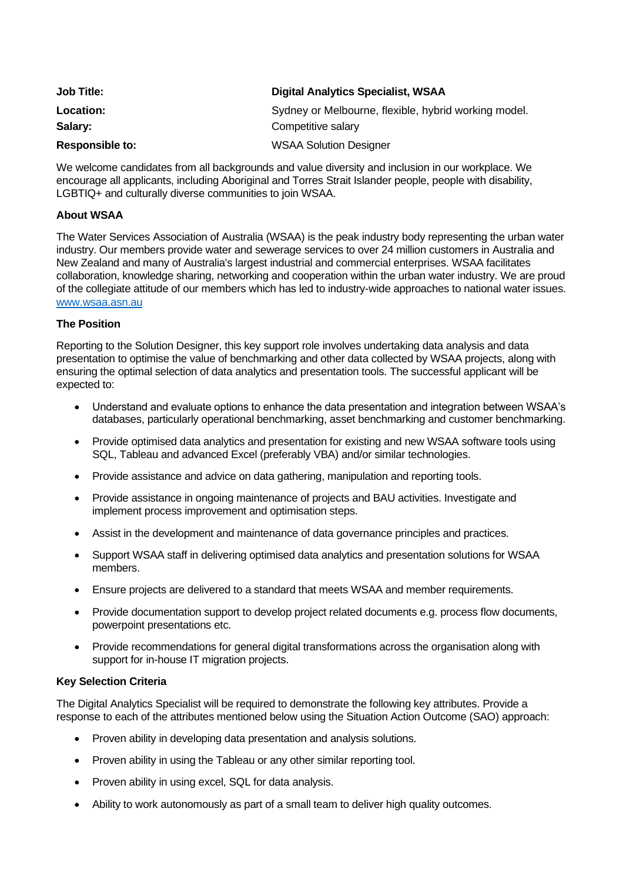| <b>Job Title:</b>      | <b>Digital Analytics Specialist, WSAA</b>            |
|------------------------|------------------------------------------------------|
| Location:              | Sydney or Melbourne, flexible, hybrid working model. |
| Salary:                | Competitive salary                                   |
| <b>Responsible to:</b> | <b>WSAA Solution Designer</b>                        |

We welcome candidates from all backgrounds and value diversity and inclusion in our workplace. We encourage all applicants, including Aboriginal and Torres Strait Islander people, people with disability, LGBTIQ+ and culturally diverse communities to join WSAA.

# **About WSAA**

The Water Services Association of Australia (WSAA) is the peak industry body representing the urban water industry. Our members provide water and sewerage services to over 24 million customers in Australia and New Zealand and many of Australia's largest industrial and commercial enterprises. WSAA facilitates collaboration, knowledge sharing, networking and cooperation within the urban water industry. We are proud of the collegiate attitude of our members which has led to industry-wide approaches to national water issues. [www.wsaa.asn.au](http://www.wsaa.asn.au/)

## **The Position**

Reporting to the Solution Designer, this key support role involves undertaking data analysis and data presentation to optimise the value of benchmarking and other data collected by WSAA projects, along with ensuring the optimal selection of data analytics and presentation tools. The successful applicant will be expected to:

- Understand and evaluate options to enhance the data presentation and integration between WSAA's databases, particularly operational benchmarking, asset benchmarking and customer benchmarking.
- Provide optimised data analytics and presentation for existing and new WSAA software tools using SQL, Tableau and advanced Excel (preferably VBA) and/or similar technologies.
- Provide assistance and advice on data gathering, manipulation and reporting tools.
- Provide assistance in ongoing maintenance of projects and BAU activities. Investigate and implement process improvement and optimisation steps.
- Assist in the development and maintenance of data governance principles and practices.
- Support WSAA staff in delivering optimised data analytics and presentation solutions for WSAA members.
- Ensure projects are delivered to a standard that meets WSAA and member requirements.
- Provide documentation support to develop project related documents e.g. process flow documents, powerpoint presentations etc.
- Provide recommendations for general digital transformations across the organisation along with support for in-house IT migration projects.

### **Key Selection Criteria**

The Digital Analytics Specialist will be required to demonstrate the following key attributes. Provide a response to each of the attributes mentioned below using the Situation Action Outcome (SAO) approach:

- Proven ability in developing data presentation and analysis solutions.
- Proven ability in using the Tableau or any other similar reporting tool.
- Proven ability in using excel, SQL for data analysis.
- Ability to work autonomously as part of a small team to deliver high quality outcomes.